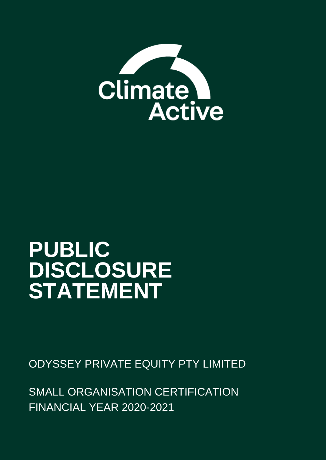

# **PUBLIC DISCLOSURE STATEMENT**

ODYSSEY PRIVATE EQUITY PTY LIMITED

SMALL ORGANISATION CERTIFICATION FINANCIAL YEAR 2020-2021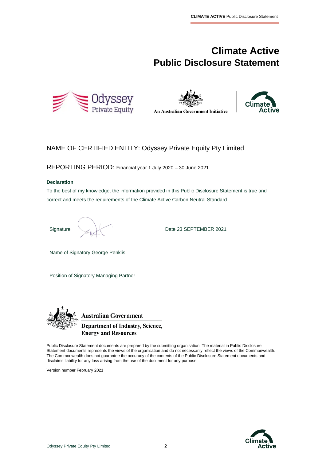# **Climate Active Public Disclosure Statement**





An Australian Government Initiative



#### NAME OF CERTIFIED ENTITY: Odyssey Private Equity Pty Limited

REPORTING PERIOD: Financial year 1 July 2020 – 30 June 2021

#### **Declaration**

To the best of my knowledge, the information provided in this Public Disclosure Statement is true and correct and meets the requirements of the Climate Active Carbon Neutral Standard.

Signature Date 23 SEPTEMBER 2021

Name of Signatory George Penklis

Position of Signatory Managing Partner



**Australian Government** 

**Department of Industry, Science, Energy and Resources** 

Public Disclosure Statement documents are prepared by the submitting organisation. The material in Public Disclosure Statement documents represents the views of the organisation and do not necessarily reflect the views of the Commonwealth. The Commonwealth does not guarantee the accuracy of the contents of the Public Disclosure Statement documents and disclaims liability for any loss arising from the use of the document for any purpose.

Version number February 2021

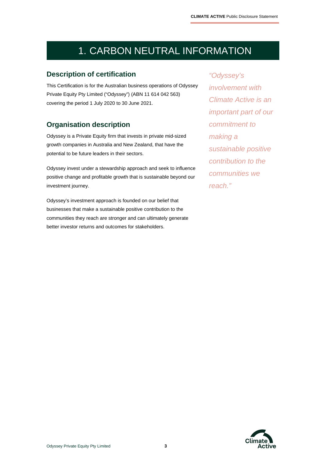# 1. CARBON NEUTRAL INFORMATION

#### **Description of certification**

This Certification is for the Australian business operations of Odyssey Private Equity Pty Limited ("Odyssey") (ABN 11 614 042 563) covering the period 1 July 2020 to 30 June 2021.

#### **Organisation description**

Odyssey is a Private Equity firm that invests in private mid-sized growth companies in Australia and New Zealand, that have the potential to be future leaders in their sectors.

Odyssey invest under a stewardship approach and seek to influence positive change and profitable growth that is sustainable beyond our investment journey.

Odyssey's investment approach is founded on our belief that businesses that make a sustainable positive contribution to the communities they reach are stronger and can ultimately generate better investor returns and outcomes for stakeholders.

*"Odyssey's involvement with Climate Active is an important part of our commitment to making a sustainable positive contribution to the communities we reach."*

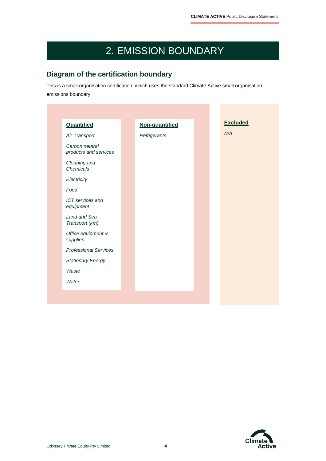# 2. EMISSION BOUNDARY

# **Diagram of the certification boundary**

This is a small organisation certification, which uses the standard Climate Active small organisation emissions boundary.

| Quantified                              | Non-quantified |  | <b>Excluded</b> |
|-----------------------------------------|----------------|--|-----------------|
| Air Transport                           | Refrigerants   |  | N/A             |
| Carbon neutral<br>products and services |                |  |                 |
| Cleaning and<br>Chemicals               |                |  |                 |
| Electricity                             |                |  |                 |
| Food                                    |                |  |                 |
| ICT services and<br>equipment           |                |  |                 |
| Land and Sea<br>Transport (km)          |                |  |                 |
| Office equipment &<br>supplies          |                |  |                 |
| <b>Professional Services</b>            |                |  |                 |
| <b>Stationary Energy</b>                |                |  |                 |
| Waste                                   |                |  |                 |
| Water                                   |                |  |                 |

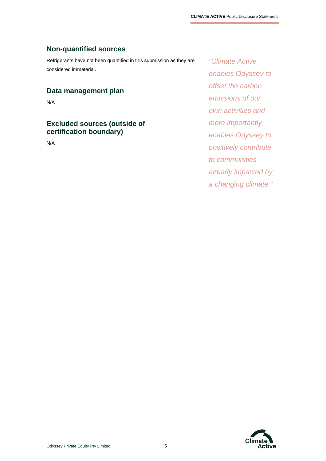#### **Non-quantified sources**

Refrigerants have not been quantified in this submission as they are considered immaterial.

#### **Data management plan**

N/A

# **Excluded sources (outside of certification boundary)**

N/A

*"Climate Active enables Odyssey to offset the carbon emissions of our own activities and more importantly enables Odyssey to positively contribute to communities already impacted by a changing climate."*

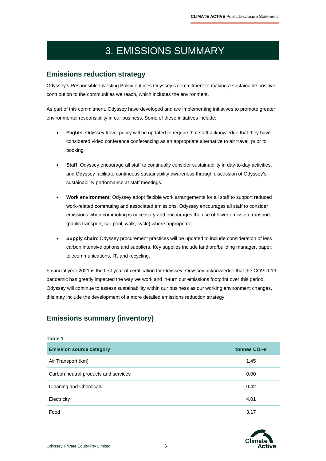# 3. EMISSIONS SUMMARY

#### **Emissions reduction strategy**

Odyssey's Responsible Investing Policy outlines Odyssey's commitment to making a sustainable positive contribution to the communities we reach, which includes the environment.

As part of this commitment, Odyssey have developed and are implementing initiatives to promote greater environmental responsibility in our business. Some of these initiatives include:

- **Flights**: Odyssey travel policy will be updated to require that staff acknowledge that they have considered video conference conferencing as an appropriate alternative to air travel, prior to booking.
- **Staff**: Odyssey encourage all staff to continually consider sustainability in day-to-day activities, and Odyssey facilitate continuous sustainability awareness through discussion of Odyssey's sustainability performance at staff meetings.
- **Work environment**: Odyssey adopt flexible work arrangements for all staff to support reduced work-related commuting and associated emissions. Odyssey encourages all staff to consider emissions when commuting is necessary and encourages the use of lower emission transport (public transport, car-pool, walk, cycle) where appropriate.
- **Supply chain**: Odyssey procurement practices will be updated to include consideration of less carbon intensive options and suppliers. Key supplies include landlord/building manager, paper, telecommunications, IT, and recycling.

Financial year 2021 is the first year of certification for Odyssey. Odyssey acknowledge that the COVID-19 pandemic has greatly impacted the way we work and in-turn our emissions footprint over this period. Odyssey will continue to assess sustainability within our business as our working environment changes, this may include the development of a more detailed emissions reduction strategy.

# **Emissions summary (inventory)**

| l apic l                             |                           |
|--------------------------------------|---------------------------|
| <b>Emission source category</b>      | tonnes CO <sub>2</sub> -e |
| Air Transport (km)                   | 1.45                      |
| Carbon neutral products and services | 0.00                      |
| Cleaning and Chemicals               | 0.42                      |
| Electricity                          | 4.01                      |
| Food                                 | 3.17                      |



**Table 1**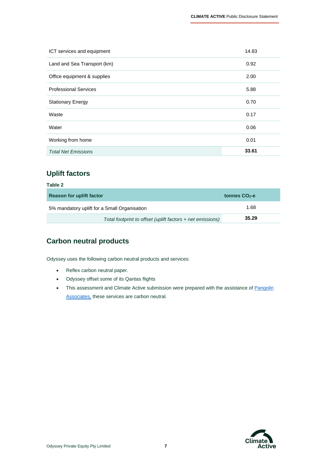| ICT services and equipment   | 14.83 |
|------------------------------|-------|
| Land and Sea Transport (km)  | 0.92  |
| Office equipment & supplies  | 2.00  |
| <b>Professional Services</b> | 5.88  |
| <b>Stationary Energy</b>     | 0.70  |
| Waste                        | 0.17  |
| Water                        | 0.06  |
| Working from home            | 0.01  |
| <b>Total Net Emissions</b>   | 33.61 |

# **Uplift factors**

| <b>Reason for uplift factor</b>                            | tonnes CO <sub>2</sub> -e |
|------------------------------------------------------------|---------------------------|
| 5% mandatory uplift for a Small Organisation               | 1.68                      |
| Total footprint to offset (uplift factors + net emissions) | 35.29                     |

# **Carbon neutral products**

Odyssey uses the following carbon neutral products and services:

- Reflex carbon neutral paper.
- Odyssey offset some of its Qantas flights
- This assessment and Climate Active submission were prepared with the assistance of Pangolin [Associates,](https://pangolinassociates.com/) these services are carbon neutral.

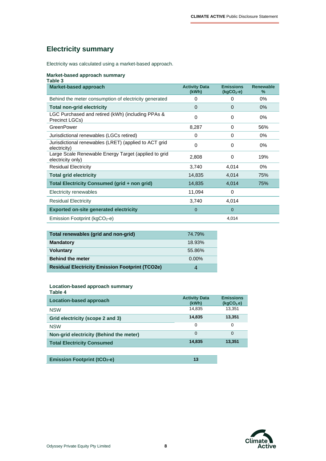# **Electricity summary**

Electricity was calculated using a market-based approach.

#### **Market-based approach summary**

| Table 3                                                                   |                               |                                 |                          |
|---------------------------------------------------------------------------|-------------------------------|---------------------------------|--------------------------|
| <b>Market-based approach</b>                                              | <b>Activity Data</b><br>(kWh) | <b>Emissions</b><br>$(kgCO2-e)$ | <b>Renewable</b><br>$\%$ |
| Behind the meter consumption of electricity generated                     | 0                             | 0                               | $0\%$                    |
| <b>Total non-grid electricity</b>                                         | $\Omega$                      | $\Omega$                        | $0\%$                    |
| LGC Purchased and retired (kWh) (including PPAs &<br>Precinct LGCs)       | 0                             | 0                               | $0\%$                    |
| GreenPower                                                                | 8,287                         | 0                               | 56%                      |
| Jurisdictional renewables (LGCs retired)                                  | 0                             | 0                               | 0%                       |
| Jurisdictional renewables (LRET) (applied to ACT grid<br>electricity)     | 0                             | 0                               | $0\%$                    |
| Large Scale Renewable Energy Target (applied to grid<br>electricity only) | 2,808                         | 0                               | 19%                      |
| <b>Residual Electricity</b>                                               | 3,740                         | 4,014                           | $0\%$                    |
| <b>Total grid electricity</b>                                             | 14,835                        | 4,014                           | 75%                      |
| <b>Total Electricity Consumed (grid + non grid)</b>                       | 14,835                        | 4,014                           | 75%                      |
| Electricity renewables                                                    | 11,094                        | 0                               |                          |
| <b>Residual Electricity</b>                                               | 3,740                         | 4,014                           |                          |
| <b>Exported on-site generated electricity</b>                             | $\Omega$                      | $\mathbf 0$                     |                          |
| Emission Footprint (kgCO <sub>2</sub> -e)                                 |                               | 4,014                           |                          |
|                                                                           |                               |                                 |                          |

| Total renewables (grid and non-grid)                   | 74.79%   |
|--------------------------------------------------------|----------|
| <b>Mandatory</b>                                       | 18.93%   |
| <b>Voluntary</b>                                       | 55.86%   |
| <b>Behind the meter</b>                                | $0.00\%$ |
| <b>Residual Electricity Emission Footprint (TCO2e)</b> | 4        |

#### **Location-based approach summary**

| Table 4                                 |                               |                                            |
|-----------------------------------------|-------------------------------|--------------------------------------------|
| <b>Location-based approach</b>          | <b>Activity Data</b><br>(kWh) | <b>Emissions</b><br>(kqCO <sub>2</sub> .e) |
| <b>NSW</b>                              | 14.835                        | 13.351                                     |
| Grid electricity (scope 2 and 3)        | 14.835                        | 13.351                                     |
| <b>NSW</b>                              | 0                             | 0                                          |
| Non-grid electricity (Behind the meter) | $\Omega$                      | 0                                          |
| <b>Total Electricity Consumed</b>       | 14.835                        | 13.351                                     |
|                                         |                               |                                            |

| <b>Emission Footprint (tCO<sub>2</sub>-e)</b> |  |
|-----------------------------------------------|--|
|                                               |  |

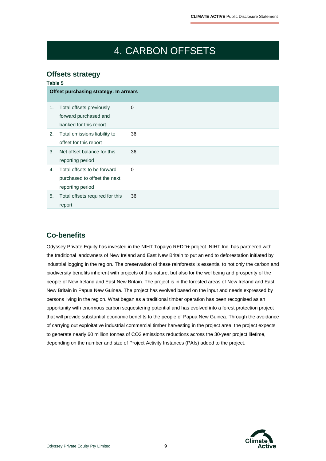# 4. CARBON OFFSETS

### **Offsets strategy**

| Table 5 |                                        |             |
|---------|----------------------------------------|-------------|
|         | Offset purchasing strategy: In arrears |             |
|         |                                        |             |
| 1.      | Total offsets previously               | $\mathbf 0$ |
|         | forward purchased and                  |             |
|         | banked for this report                 |             |
| 2.      | Total emissions liability to           | 36          |
|         | offset for this report                 |             |
| 3.      | Net offset balance for this            | 36          |
|         | reporting period                       |             |
| 4.      | Total offsets to be forward            | 0           |
|         | purchased to offset the next           |             |
|         | reporting period                       |             |
| 5.      | Total offsets required for this        | 36          |
|         | report                                 |             |

## **Co-benefits**

Odyssey Private Equity has invested in the NIHT Topaiyo REDD+ project. NIHT Inc. has partnered with the traditional landowners of New Ireland and East New Britain to put an end to deforestation initiated by industrial logging in the region. The preservation of these rainforests is essential to not only the carbon and biodiversity benefits inherent with projects of this nature, but also for the wellbeing and prosperity of the people of New Ireland and East New Britain. The project is in the forested areas of New Ireland and East New Britain in Papua New Guinea. The project has evolved based on the input and needs expressed by persons living in the region. What began as a traditional timber operation has been recognised as an opportunity with enormous carbon sequestering potential and has evolved into a forest protection project that will provide substantial economic benefits to the people of Papua New Guinea. Through the avoidance of carrying out exploitative industrial commercial timber harvesting in the project area, the project expects to generate nearly 60 million tonnes of CO2 emissions reductions across the 30-year project lifetime, depending on the number and size of Project Activity Instances (PAIs) added to the project.

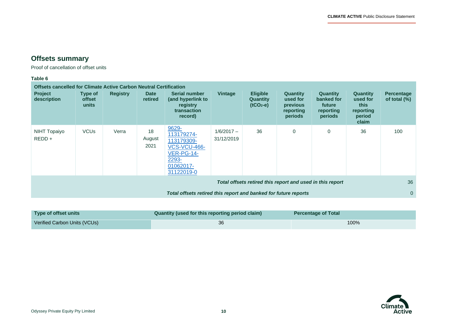$\overline{\phantom{a}}$ 

# **Offsets summary**

Proof of cancellation of offset units

#### **Table 6**

| <b>Offsets cancelled for Climate Active Carbon Neutral Certification</b> |                            |                 |                        |                                                                                                            |                            |                                                  |                                                                 |                                                                 |                                                                     |                                      |
|--------------------------------------------------------------------------|----------------------------|-----------------|------------------------|------------------------------------------------------------------------------------------------------------|----------------------------|--------------------------------------------------|-----------------------------------------------------------------|-----------------------------------------------------------------|---------------------------------------------------------------------|--------------------------------------|
| <b>Project</b><br>description                                            | Type of<br>offset<br>units | <b>Registry</b> | <b>Date</b><br>retired | <b>Serial number</b><br>(and hyperlink to<br>registry<br>transaction<br>record)                            | <b>Vintage</b>             | <b>Eligible</b><br><b>Quantity</b><br>$(tCO2-e)$ | <b>Quantity</b><br>used for<br>previous<br>reporting<br>periods | <b>Quantity</b><br>banked for<br>future<br>reporting<br>periods | <b>Quantity</b><br>used for<br>this<br>reporting<br>period<br>claim | <b>Percentage</b><br>of total $(\%)$ |
| <b>NIHT Topaiyo</b><br>$REDD +$                                          | <b>VCU<sub>s</sub></b>     | Verra           | 18<br>August<br>2021   | 9629-<br>113179274-<br>113179309-<br><b>VCS-VCU-466-</b><br>VER-PG-14-<br>2293-<br>01062017-<br>31122019-0 | $1/6/2017 -$<br>31/12/2019 | 36                                               | $\Omega$                                                        | $\mathbf 0$                                                     | 36                                                                  | 100                                  |
| Total offsets retired this report and used in this report                |                            |                 |                        |                                                                                                            |                            |                                                  |                                                                 | 36                                                              |                                                                     |                                      |
| Total offsets retired this report and banked for future reports          |                            |                 |                        |                                                                                                            |                            |                                                  | $\overline{0}$                                                  |                                                                 |                                                                     |                                      |

| Type of offset units         | Quantity (used for this reporting period claim) | <b>Percentage of Total</b> |
|------------------------------|-------------------------------------------------|----------------------------|
| Verified Carbon Units (VCUs) | 36                                              | 100%                       |

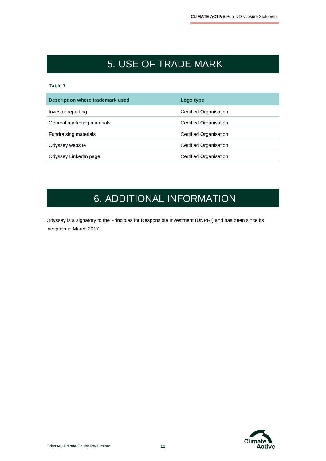# 5. USE OF TRADE MARK

#### **Table 7**

| Description where trademark used | Logo type              |
|----------------------------------|------------------------|
| Investor reporting               | Certified Organisation |
| General marketing materials      | Certified Organisation |
| Fundraising materials            | Certified Organisation |
| Odyssey website                  | Certified Organisation |
| Odyssey LinkedIn page            | Certified Organisation |

# 6. ADDITIONAL INFORMATION

Odyssey is a signatory to the Principles for Responsible Investment (UNPRI) and has been since its inception in March 2017.

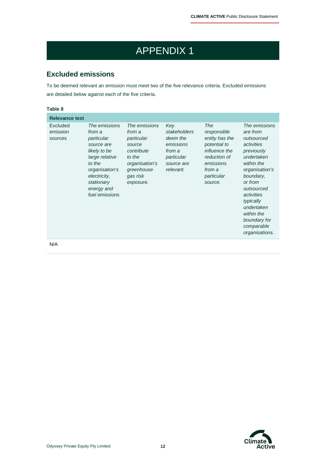# APPENDIX 1

# **Excluded emissions**

To be deemed relevant an emission must meet two of the five relevance criteria. Excluded emissions are detailed below against each of the five criteria.

| Table 8                         |                                                                                                                                                                                 |                                                                                                                                  |                                                                                                 |                                                                                                                                       |                                                                                                                                                                                                                                                                |
|---------------------------------|---------------------------------------------------------------------------------------------------------------------------------------------------------------------------------|----------------------------------------------------------------------------------------------------------------------------------|-------------------------------------------------------------------------------------------------|---------------------------------------------------------------------------------------------------------------------------------------|----------------------------------------------------------------------------------------------------------------------------------------------------------------------------------------------------------------------------------------------------------------|
| <b>Relevance test</b>           |                                                                                                                                                                                 |                                                                                                                                  |                                                                                                 |                                                                                                                                       |                                                                                                                                                                                                                                                                |
| Excluded<br>emission<br>sources | The emissions<br>from a<br>particular<br>source are<br>likely to be<br>large relative<br>to the<br>organisation's<br>electricity,<br>stationary<br>energy and<br>fuel emissions | The emissions<br>from a<br>particular<br>source<br>contribute<br>to the<br>organisation's<br>greenhouse<br>gas risk<br>exposure. | Key<br>stakeholders<br>deem the<br>emissions<br>from a<br>particular<br>source are<br>relevant. | The<br>responsible<br>entity has the<br>potential to<br>influence the<br>reduction of<br>emissions<br>from a<br>particular<br>source. | The emissions<br>are from<br>outsourced<br>activities<br>previously<br>undertaken<br>within the<br>organisation's<br>boundary,<br>or from<br>outsourced<br>activities<br>typically<br>undertaken<br>within the<br>boundary for<br>comparable<br>organisations. |
| N/A                             |                                                                                                                                                                                 |                                                                                                                                  |                                                                                                 |                                                                                                                                       |                                                                                                                                                                                                                                                                |

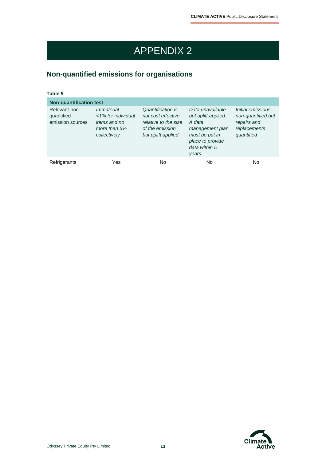# APPENDIX 2

# **Non-quantified emissions for organisations**

| Table 9                                         |                                                                                                |                                                                                                           |                                                                                                                                       |                                                                                      |  |  |  |  |
|-------------------------------------------------|------------------------------------------------------------------------------------------------|-----------------------------------------------------------------------------------------------------------|---------------------------------------------------------------------------------------------------------------------------------------|--------------------------------------------------------------------------------------|--|--|--|--|
| <b>Non-quantification test</b>                  |                                                                                                |                                                                                                           |                                                                                                                                       |                                                                                      |  |  |  |  |
| Relevant-non-<br>quantified<br>emission sources | <i>Immaterial</i><br><1% for individual<br><i>items and no</i><br>more than 5%<br>collectively | Quantification is<br>not cost effective<br>relative to the size<br>of the emission<br>but uplift applied. | Data unavailable<br>but uplift applied.<br>A data<br>management plan<br>must be put in<br>place to provide<br>data within 5<br>years. | Initial emissions<br>non-quantified but<br>repairs and<br>replacements<br>quantified |  |  |  |  |
| Refrigerants                                    | Yes                                                                                            | No                                                                                                        | No                                                                                                                                    | No                                                                                   |  |  |  |  |